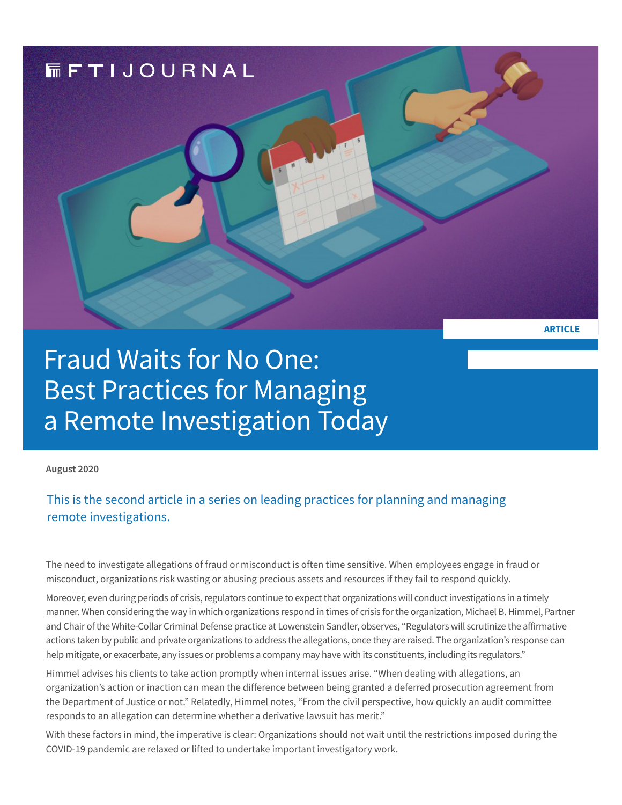

# Fraud Waits for No One: Best Practices for Managing a Remote Investigation Today

**August 2020** 

### This is the second article in a series on leading practices for planning and managing remote investigations.

The need to investigate allegations of fraud or misconduct is often time sensitive. When employees engage in fraud or misconduct, organizations risk wasting or abusing precious assets and resources if they fail to respond quickly.

Moreover, even during periods of crisis, regulators continue to expect that organizations will conduct investigations in a timely manner. When considering the way in which organizations respond in times of crisis for the organization, Michael B. Himmel, Partner and Chair of the White-Collar Criminal Defense practice at Lowenstein Sandler, observes, "Regulators will scrutinize the affirmative actions taken by public and private organizations to address the allegations, once they are raised. The organization's response can help mitigate, or exacerbate, any issues or problems a company may have with its constituents, including its regulators."

Himmel advises his clients to take action promptly when internal issues arise. "When dealing with allegations, an organization's action or inaction can mean the difference between being granted a deferred prosecution agreement from the Department of Justice or not." Relatedly, Himmel notes, "From the civil perspective, how quickly an audit committee responds to an allegation can determine whether a derivative lawsuit has merit."

With these factors in mind, the imperative is clear: Organizations should not wait until the restrictions imposed during the COVID-19 pandemic are relaxed or lifted to undertake important investigatory work.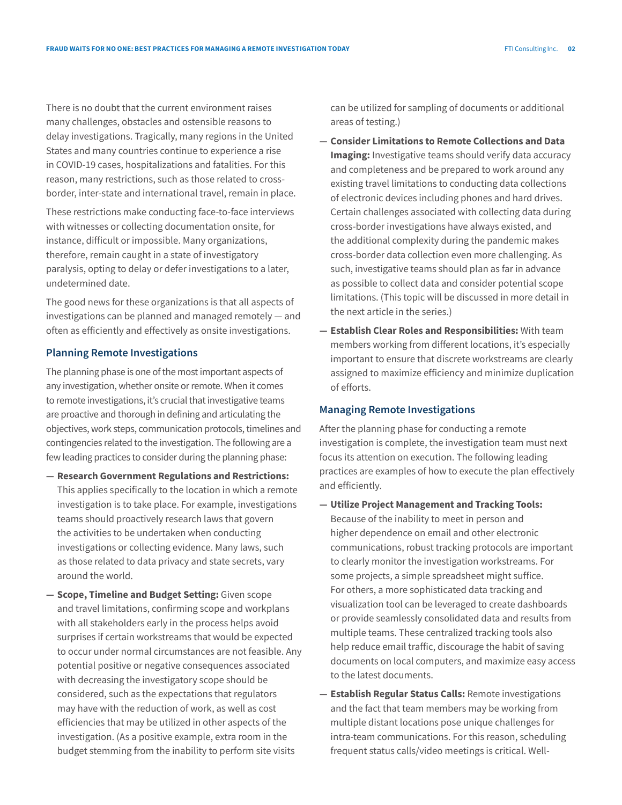There is no doubt that the current environment raises many challenges, obstacles and ostensible reasons to delay investigations. Tragically, many regions in the United States and many countries continue to experience a rise in COVID-19 cases, hospitalizations and fatalities. For this reason, many restrictions, such as those related to crossborder, inter-state and international travel, remain in place.

These restrictions make conducting face-to-face interviews with witnesses or collecting documentation onsite, for instance, difficult or impossible. Many organizations, therefore, remain caught in a state of investigatory paralysis, opting to delay or defer investigations to a later, undetermined date.

The good news for these organizations is that all aspects of investigations can be planned and managed remotely — and often as efficiently and effectively as onsite investigations.

#### **Planning Remote Investigations**

The planning phase is one of the most important aspects of any investigation, whether onsite or remote. When it comes to remote investigations, it's crucial that investigative teams are proactive and thorough in defining and articulating the objectives, work steps, communication protocols, timelines and contingencies related to the investigation. The following are a few leading practices to consider during the planning phase:

- **— Research Government Regulations and Restrictions:** This applies specifically to the location in which a remote investigation is to take place. For example, investigations teams should proactively research laws that govern the activities to be undertaken when conducting investigations or collecting evidence. Many laws, such as those related to data privacy and state secrets, vary around the world.
- **— Scope, Timeline and Budget Setting:** Given scope and travel limitations, confirming scope and workplans with all stakeholders early in the process helps avoid surprises if certain workstreams that would be expected to occur under normal circumstances are not feasible. Any potential positive or negative consequences associated with decreasing the investigatory scope should be considered, such as the expectations that regulators may have with the reduction of work, as well as cost efficiencies that may be utilized in other aspects of the investigation. (As a positive example, extra room in the budget stemming from the inability to perform site visits

can be utilized for sampling of documents or additional areas of testing.)

- **— Consider Limitations to Remote Collections and Data Imaging:** Investigative teams should verify data accuracy and completeness and be prepared to work around any existing travel limitations to conducting data collections of electronic devices including phones and hard drives. Certain challenges associated with collecting data during cross-border investigations have always existed, and the additional complexity during the pandemic makes cross-border data collection even more challenging. As such, investigative teams should plan as far in advance as possible to collect data and consider potential scope limitations. (This topic will be discussed in more detail in the next article in the series.)
- **— Establish Clear Roles and Responsibilities:** With team members working from different locations, it's especially important to ensure that discrete workstreams are clearly assigned to maximize efficiency and minimize duplication of efforts.

#### **Managing Remote Investigations**

After the planning phase for conducting a remote investigation is complete, the investigation team must next focus its attention on execution. The following leading practices are examples of how to execute the plan effectively and efficiently.

- **— Utilize Project Management and Tracking Tools:** Because of the inability to meet in person and higher dependence on email and other electronic communications, robust tracking protocols are important to clearly monitor the investigation workstreams. For some projects, a simple spreadsheet might suffice. For others, a more sophisticated data tracking and visualization tool can be leveraged to create dashboards or provide seamlessly consolidated data and results from multiple teams. These centralized tracking tools also help reduce email traffic, discourage the habit of saving documents on local computers, and maximize easy access to the latest documents.
- **— Establish Regular Status Calls:** Remote investigations and the fact that team members may be working from multiple distant locations pose unique challenges for intra-team communications. For this reason, scheduling frequent status calls/video meetings is critical. Well-